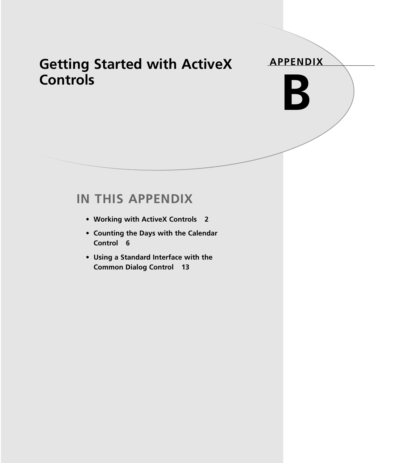# **Getting Started with ActiveX Controls**



**B**

## **IN THIS APPENDIX**

- **Working with ActiveX Controls 2**
- **Counting the Days with the Calendar Control 6**
- **Using a Standard Interface with the Common Dialog Control 13**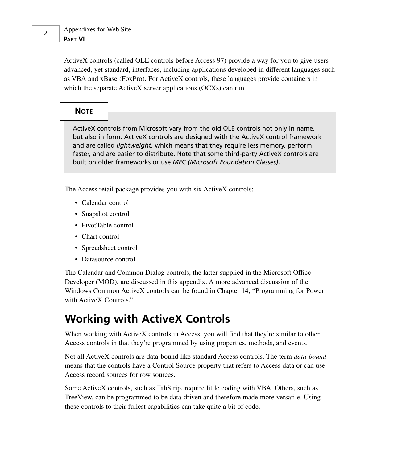ActiveX controls (called OLE controls before Access 97) provide a way for you to give users advanced, yet standard, interfaces, including applications developed in different languages such as VBA and xBase (FoxPro). For ActiveX controls, these languages provide containers in which the separate ActiveX server applications (OCXs) can run.

## **NOTE**

ActiveX controls from Microsoft vary from the old OLE controls not only in name, but also in form. ActiveX controls are designed with the ActiveX control framework and are called *lightweight*, which means that they require less memory, perform faster, and are easier to distribute. Note that some third-party ActiveX controls are built on older frameworks or use *MFC (Microsoft Foundation Classes)*.

The Access retail package provides you with six ActiveX controls:

- Calendar control
- Snapshot control
- PivotTable control
- Chart control
- Spreadsheet control
- Datasource control

The Calendar and Common Dialog controls, the latter supplied in the Microsoft Office Developer (MOD), are discussed in this appendix. A more advanced discussion of the Windows Common ActiveX controls can be found in Chapter 14, "Programming for Power with ActiveX Controls."

# **Working with ActiveX Controls**

When working with ActiveX controls in Access, you will find that they're similar to other Access controls in that they're programmed by using properties, methods, and events.

Not all ActiveX controls are data-bound like standard Access controls. The term *data-bound* means that the controls have a Control Source property that refers to Access data or can use Access record sources for row sources.

Some ActiveX controls, such as TabStrip, require little coding with VBA. Others, such as TreeView, can be programmed to be data-driven and therefore made more versatile. Using these controls to their fullest capabilities can take quite a bit of code.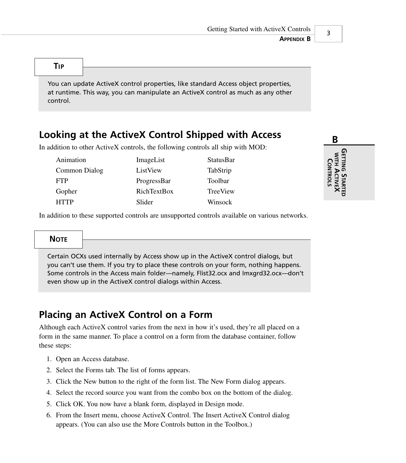#### **TIP**

You can update ActiveX control properties, like standard Access object properties, at runtime. This way, you can manipulate an ActiveX control as much as any other control.

### **Looking at the ActiveX Control Shipped with Access**

In addition to other ActiveX controls, the following controls all ship with MOD:

| Animation     | ImageList   | StatusBar |
|---------------|-------------|-----------|
| Common Dialog | ListView    | TabStrip  |
| <b>FTP</b>    | ProgressBar | Toolbar   |
| Gopher        | RichTextBox | TreeView  |
| <b>HTTP</b>   | Slider      | Winsock   |

In addition to these supported controls are unsupported controls available on various networks.

#### **NOTE**

Certain OCXs used internally by Access show up in the ActiveX control dialogs, but you can't use them. If you try to place these controls on your form, nothing happens. Some controls in the Access main folder—namely, Flist32.ocx and Imxgrd32.ocx—don't even show up in the ActiveX control dialogs within Access.

## **Placing an ActiveX Control on a Form**

Although each ActiveX control varies from the next in how it's used, they're all placed on a form in the same manner. To place a control on a form from the database container, follow these steps:

- 1. Open an Access database.
- 2. Select the Forms tab. The list of forms appears.
- 3. Click the New button to the right of the form list. The New Form dialog appears.
- 4. Select the record source you want from the combo box on the bottom of the dialog.
- 5. Click OK. You now have a blank form, displayed in Design mode.
- 6. From the Insert menu, choose ActiveX Control. The Insert ActiveX Control dialog appears. (You can also use the More Controls button in the Toolbox.)

**B**

א<br>א∃

**ACTIVE X CONTROLS**

**GETTING**

**STARTED**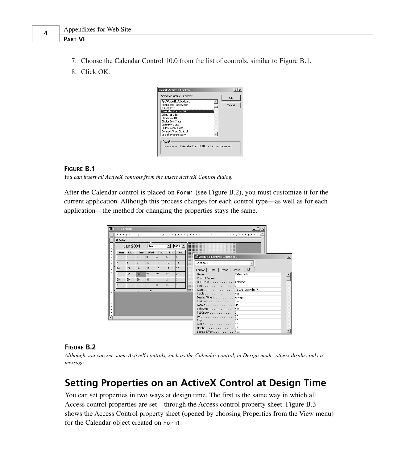- 7. Choose the Calendar Control 10.0 from the list of controls, similar to Figure B.1.
- 8. Click OK.



#### **FIGURE B.1**

*You can insert all ActiveX controls from the Insert ActiveX Control dialog.*

After the Calendar control is placed on *Form1* (see Figure B.2), you must customize it for the current application. Although this process changes for each control type—as well as for each application—the method for changing the properties stays the same.

|     | <b>←</b> Detail |                |            |            |     |            |                                     |  |
|-----|-----------------|----------------|------------|------------|-----|------------|-------------------------------------|--|
|     | Jan 2001        |                | <b>Jan</b> |            |     | $2001$ $-$ |                                     |  |
| Sun | Mon             | Tue            | Wed        | <b>Thu</b> | Fri | Sat        |                                     |  |
|     |                 |                |            |            | 5   | ĥ          | ActiveX Control: Calendar0          |  |
|     | ls              | $\overline{a}$ | 10         | 11         | 12  | 13         | Calendar <sub>0</sub>               |  |
| 14  | 15              | 16             | 17         | 18         | 19  | 20         | Format   Data   Event   Other   All |  |
| 21  | 22              | 23             | 24         | 25         | 26  | 27         | Name Calendar0                      |  |
| 28  | 29              | 30             | 131        |            |     |            | Control Source                      |  |
|     |                 |                |            |            |     | 10         | OLE Class Calendar                  |  |
|     |                 |                |            |            |     |            | $Verb$ 0                            |  |
|     |                 |                |            |            |     |            | Class MSCAL.Calendar.7              |  |
|     |                 |                |            |            |     |            | Visible Yes                         |  |
|     |                 |                |            |            |     |            | Display When Always                 |  |
|     |                 |                |            |            |     |            | Enabled Yes                         |  |
|     |                 |                |            |            |     |            | Locked No                           |  |
|     |                 |                |            |            |     |            | Tab Stop Yes                        |  |
|     |                 |                |            |            |     |            | Tab Index 0                         |  |
|     |                 |                |            |            |     |            | Left 0"                             |  |
|     |                 |                |            |            |     |            | Top 0"                              |  |
|     |                 |                |            |            |     |            | Width $3"$                          |  |
|     |                 |                |            |            |     |            | Height 2"                           |  |
|     |                 |                |            |            |     |            | Special Effect Flat                 |  |

#### **FIGURE B.2**

*Although you can see some ActiveX controls, such as the Calendar control, in Design mode, others display only a message.*

## **Setting Properties on an ActiveX Control at Design Time**

You can set properties in two ways at design time. The first is the same way in which all Access control properties are set—through the Access control property sheet. Figure B.3 shows the Access Control property sheet (opened by choosing Properties from the View menu) for the Calendar object created on *Form1*.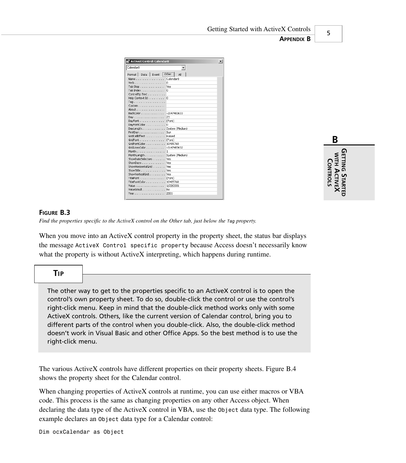

5

| ActiveX Control: Calendar0<br>Calendar <sub>0</sub> |            | $\vert x \vert$ |
|-----------------------------------------------------|------------|-----------------|
| Format                                              | Data Event | Other<br>AΙ     |
| Name                                                |            | Calendar0       |
| $Verb$                                              |            | n               |
| Tab Stop                                            |            | Yes             |
| Tab Index                                           |            | n               |
| ControlTip Text                                     |            |                 |
| Help Context Id                                     |            | n               |
| Tag                                                 |            |                 |
| Custom $\ldots \ldots$                              |            |                 |
| Ahout                                               |            |                 |
| BackColor                                           |            | -2147483633     |
| Dav                                                 |            | 23              |
| DayFont                                             |            | (Font)          |
| DayFontColor                                        |            | n               |
| DayLength                                           |            | System (Medium) |
| FirstDay                                            |            | <b>Sun</b>      |
| GridCellEffect                                      |            | Raised          |
| GridFont                                            |            | (Font)          |
| GridFontColor                                       |            | 10485760        |
| GridLinesColor                                      |            | -2147483632     |
| Month                                               |            | 1               |
| MonthLength                                         |            | System (Medium) |
| ShowDateSelectors                                   |            | Yes             |
| ShowDays                                            |            | Yes             |
| ShowHorizontalGrid                                  |            | Yes             |
| ShowTitle                                           |            | Yes             |
| ShowVerticalGrid                                    |            | Yes             |
| TitleFont                                           |            | (Font)          |
| TitleFontColor                                      |            | 10485760        |
| Value                                               |            | 1/23/2001       |
| ValueIsNull                                         |            | No              |
| Year                                                |            | 2001            |

**B GETTING** א<br>א∃ **CONTROLS CONTROLS ACTIVE X STARTED**

#### **FIGURE B.3**

*Find the properties specific to the ActiveX control on the Other tab, just below the Tag property.* 

When you move into an ActiveX control property in the property sheet, the status bar displays the message *ActiveX Control specific property* because Access doesn't necessarily know what the property is without ActiveX interpreting, which happens during runtime.

**TIP**

The other way to get to the properties specific to an ActiveX control is to open the control's own property sheet. To do so, double-click the control or use the control's right-click menu. Keep in mind that the double-click method works only with some ActiveX controls. Others, like the current version of Calendar control, bring you to different parts of the control when you double-click. Also, the double-click method doesn't work in Visual Basic and other Office Apps. So the best method is to use the right-click menu.

The various ActiveX controls have different properties on their property sheets. Figure B.4 shows the property sheet for the Calendar control.

When changing properties of ActiveX controls at runtime, you can use either macros or VBA code. This process is the same as changing properties on any other Access object. When declaring the data type of the ActiveX control in VBA, use the *Object* data type. The following example declares an *Object* data type for a Calendar control:

*Dim ocxCalendar as Object*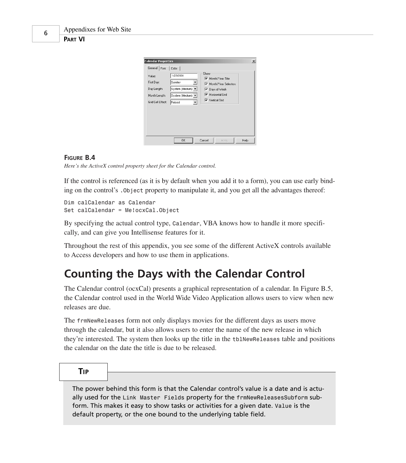| <b>Calendar Properties</b><br>General Font<br>Value:<br>First Day:<br>Day Length:<br>Month Length:<br>Grid Cell Effect: | Color<br>1/23/2001<br>Sunday<br>System (Medium) v<br>System (Medium) =<br>Raised | <b>Show</b><br><b>▽</b> Month/Year Title<br>Month/Year Selectors<br>$\overline{\vee}$ Days of Week<br><b>▽</b> Horizontal Grid<br>Vertical Grid | $\vert x \vert$ |
|-------------------------------------------------------------------------------------------------------------------------|----------------------------------------------------------------------------------|-------------------------------------------------------------------------------------------------------------------------------------------------|-----------------|
|                                                                                                                         | <b>OK</b>                                                                        | Cancel<br><b>Apply</b>                                                                                                                          | Help            |

#### **FIGURE B.4**

*Here's the ActiveX control property sheet for the Calendar control.*

If the control is referenced (as it is by default when you add it to a form), you can use early binding on the control's *.Object* property to manipulate it, and you get all the advantages thereof:

*Dim calCalendar as Calendar Set calCalendar = Me!ocxCal.Object*

By specifying the actual control type, *Calendar*, VBA knows how to handle it more specifically, and can give you Intellisense features for it.

Throughout the rest of this appendix, you see some of the different ActiveX controls available to Access developers and how to use them in applications.

## **Counting the Days with the Calendar Control**

The Calendar control (ocxCal) presents a graphical representation of a calendar. In Figure B.5, the Calendar control used in the World Wide Video Application allows users to view when new releases are due.

The *frmNewReleases* form not only displays movies for the different days as users move through the calendar, but it also allows users to enter the name of the new release in which they're interested. The system then looks up the title in the *tblNewReleases* table and positions the calendar on the date the title is due to be released.

#### **TIP**

The power behind this form is that the Calendar control's value is a date and is actually used for the *Link Master Fields* property for the *frmNewReleasesSubform* subform. This makes it easy to show tasks or activities for a given date. *Value* is the default property, or the one bound to the underlying table field.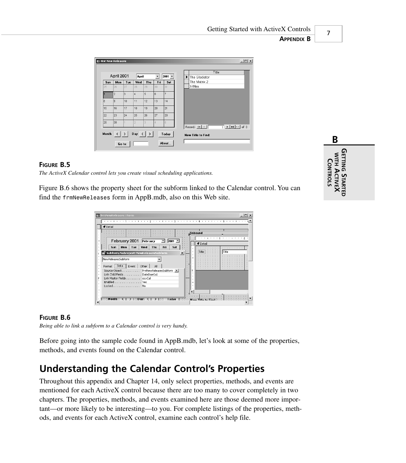

#### **FIGURE B.5**

*The ActiveX Calendar control lets you create visual scheduling applications.*

Figure B.6 shows the property sheet for the subform linked to the Calendar control. You can find the *frmNewReleases* form in AppB.mdb, also on this Web site.

| <b>€</b> Detail<br>Jinbound<br>. 1<br>February 2001 February<br>$2001$ $\degree$<br><b>€</b> Detail<br>Wed<br>Thu<br>Sat<br>Mon<br><b>Sun</b><br>Tue<br>Fri<br>.<br>Title<br>Title:<br>Subform/Subreport: NewReleasesSubform<br>$\times$<br>NewReleasesSubform<br>Format Data Event<br>Other<br>All<br>Source Object frmNewReleasesSubform   v  <br>Link Child Fields DateDueOut<br>Link Master Fields ocxCal<br>ź<br>Enabled Yes<br>$Locked$<br>No | <b>ET frmNewReleases: Form</b><br>1.1.1.1.2.1.1<br>$\alpha$ | $ \Box$ $\times$ |
|-----------------------------------------------------------------------------------------------------------------------------------------------------------------------------------------------------------------------------------------------------------------------------------------------------------------------------------------------------------------------------------------------------------------------------------------------------|-------------------------------------------------------------|------------------|
|                                                                                                                                                                                                                                                                                                                                                                                                                                                     |                                                             |                  |
|                                                                                                                                                                                                                                                                                                                                                                                                                                                     |                                                             |                  |
|                                                                                                                                                                                                                                                                                                                                                                                                                                                     |                                                             |                  |
|                                                                                                                                                                                                                                                                                                                                                                                                                                                     |                                                             |                  |

#### **FIGURE B.6**

*Being able to link a subform to a Calendar control is very handy.*

Before going into the sample code found in AppB.mdb, let's look at some of the properties, methods, and events found on the Calendar control.

### **Understanding the Calendar Control's Properties**

Throughout this appendix and Chapter 14, only select properties, methods, and events are mentioned for each ActiveX control because there are too many to cover completely in two chapters. The properties, methods, and events examined here are those deemed more important—or more likely to be interesting—to you. For complete listings of the properties, methods, and events for each ActiveX control, examine each control's help file.

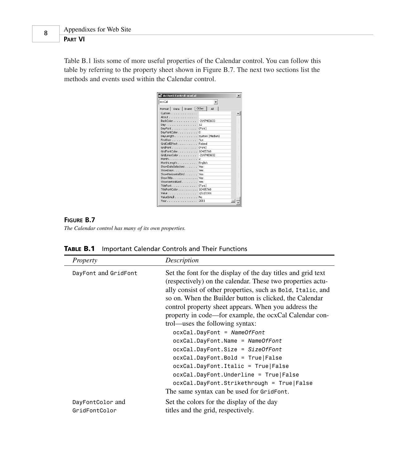Table B.1 lists some of more useful properties of the Calendar control. You can follow this table by referring to the property sheet shown in Figure B.7. The next two sections list the methods and events used within the Calendar control.

| ActiveX Control: ocxCal                 | $\times$        |
|-----------------------------------------|-----------------|
| ocxCal                                  |                 |
| Data Event Other<br>Format              | All             |
| Custom                                  |                 |
| About.                                  |                 |
| BackColor                               | -2147483633     |
| Day                                     | $12^{12}$       |
| DayFont                                 | (Font)<br>n     |
| DayFontColor<br>DayLength               | System (Medium) |
| FirstDay                                | <b>Sun</b>      |
| GridCellEffect                          | Raised          |
| GridFont                                | (Font)          |
| GridEnnhColor                           | 10485760        |
| GridLinesColor                          | -2147483632     |
| Month                                   | 2               |
| MonthLength                             | English         |
| ShowDateSelectors                       | <b>Yes</b>      |
| ShowDays                                | <b>Yes</b>      |
| ShowHorizontalGrid                      | Yes             |
| ShowTitle $\ldots \ldots \ldots \ldots$ | Yes             |
| ShowVerticalGrid                        | Yes             |
| TitleFont                               | (Font)          |
| TitleFontColor                          | 10485760        |
| Value                                   | 2/12/2001       |
| ValueIsNull                             | No              |
| Year                                    | 2001            |
|                                         |                 |

#### **FIGURE B.7**

*The Calendar control has many of its own properties.*

| Property                          | Description                                                                                                                                                                                                                                                                                                                                                                                                                                                                                                                                                                                                                                                                                                                             |
|-----------------------------------|-----------------------------------------------------------------------------------------------------------------------------------------------------------------------------------------------------------------------------------------------------------------------------------------------------------------------------------------------------------------------------------------------------------------------------------------------------------------------------------------------------------------------------------------------------------------------------------------------------------------------------------------------------------------------------------------------------------------------------------------|
| DayFont and GridFont              | Set the font for the display of the day titles and grid text<br>(respectively) on the calendar. These two properties actu-<br>ally consist of other properties, such as Bold, Italic, and<br>so on. When the Builder button is clicked, the Calendar<br>control property sheet appears. When you address the<br>property in code—for example, the ocxCal Calendar con-<br>trol—uses the following syntax:<br>$ocxCal.DayFont = NameOfFont$<br>ocxCal.DayFont.Name = NameOfFont<br>ocxCal.DayFont.Size = SizeOfFont<br>$ocxCal.DayFont.Bold = True False$<br>ocxCal.DayFont.Italic = True False<br>$ocxCal.DayFont.Underlineline = True False$<br>ocxCal.DayFont.Strikethrough = True False<br>The same syntax can be used for GridFont. |
| DayFontColor and<br>GridFontColor | Set the colors for the display of the day<br>titles and the grid, respectively.                                                                                                                                                                                                                                                                                                                                                                                                                                                                                                                                                                                                                                                         |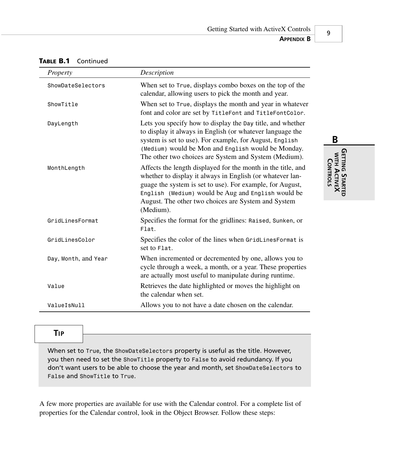| Property             | Description                                                                                                                                                                                                                                                                                                      |  |  |  |
|----------------------|------------------------------------------------------------------------------------------------------------------------------------------------------------------------------------------------------------------------------------------------------------------------------------------------------------------|--|--|--|
| ShowDateSelectors    | When set to True, displays combo boxes on the top of the<br>calendar, allowing users to pick the month and year.                                                                                                                                                                                                 |  |  |  |
| ShowTitle            | When set to True, displays the month and year in whatever<br>font and color are set by TitleFont and TitleFontColor.                                                                                                                                                                                             |  |  |  |
| DayLength            | Lets you specify how to display the Day title, and whether<br>to display it always in English (or whatever language the<br>system is set to use). For example, for August, English<br>(Medium) would be Mon and English would be Monday.<br>The other two choices are System and System (Medium).                |  |  |  |
| MonthLength          | Affects the length displayed for the month in the title, and<br>whether to display it always in English (or whatever lan-<br>guage the system is set to use). For example, for August,<br>English (Medium) would be Aug and English would be<br>August. The other two choices are System and System<br>(Medium). |  |  |  |
| GridLinesFormat      | Specifies the format for the gridlines: Raised, Sunken, or<br>Flat.                                                                                                                                                                                                                                              |  |  |  |
| GridLinesColor       | Specifies the color of the lines when GridLinesFormat is<br>set to Flat.                                                                                                                                                                                                                                         |  |  |  |
| Day, Month, and Year | When incremented or decremented by one, allows you to<br>cycle through a week, a month, or a year. These properties<br>are actually most useful to manipulate during runtime.                                                                                                                                    |  |  |  |
| Value                | Retrieves the date highlighted or moves the highlight on<br>the calendar when set.                                                                                                                                                                                                                               |  |  |  |
| ValueIsNull          | Allows you to not have a date chosen on the calendar.                                                                                                                                                                                                                                                            |  |  |  |

#### **TABLE B.1** Continued

**TIP**

When set to *True*, the *ShowDateSelectors* property is useful as the title. However, you then need to set the *ShowTitle* property to *False* to avoid redundancy. If you don't want users to be able to choose the year and month, set *ShowDateSelectors* to *False* and *ShowTitle* to *True*.

A few more properties are available for use with the Calendar control. For a complete list of properties for the Calendar control, look in the Object Browser. Follow these steps:

9

**B**

א<br>א∃

**ACTIVE X CONTROLS**

**GETTING**

**STARTED**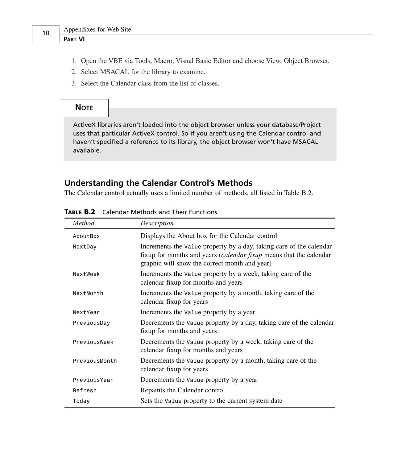- 1. Open the VBE via Tools, Macro, Visual Basic Editor and choose View, Object Browser.
- 2. Select MSACAL for the library to examine.
- 3. Select the Calendar class from the list of classes.

### **NOTE**

ActiveX libraries aren't loaded into the object browser unless your database/Project uses that particular ActiveX control. So if you aren't using the Calendar control and haven't specified a reference to its library, the object browser won't have MSACAL available.

#### **Understanding the Calendar Control's Methods**

The Calendar control actually uses a limited number of methods, all listed in Table B.2.

| <b>Method</b> | Description                                                                                                                                                                                |
|---------------|--------------------------------------------------------------------------------------------------------------------------------------------------------------------------------------------|
| AboutBox      | Displays the About box for the Calendar control                                                                                                                                            |
| NextDay       | Increments the Value property by a day, taking care of the calendar<br>fixup for months and years (calendar fixup means that the calendar<br>graphic will show the correct month and year) |
| NextWeek      | Increments the Value property by a week, taking care of the<br>calendar fixup for months and years                                                                                         |
| NextMonth     | Increments the Value property by a month, taking care of the<br>calendar fixup for years                                                                                                   |
| NextYear      | Increments the Value property by a year                                                                                                                                                    |
| PreviousDay   | Decrements the Value property by a day, taking care of the calendar<br>fixup for months and years                                                                                          |
| PreviousWeek  | Decrements the Value property by a week, taking care of the<br>calendar fixup for months and years                                                                                         |
| PreviousMonth | Decrements the Value property by a month, taking care of the<br>calendar fixup for years                                                                                                   |
| PreviousYear  | Decrements the Value property by a year                                                                                                                                                    |
| Refresh       | Repaints the Calendar control                                                                                                                                                              |
| Today         | Sets the Value property to the current system date                                                                                                                                         |

**TABLE B.2** Calendar Methods and Their Functions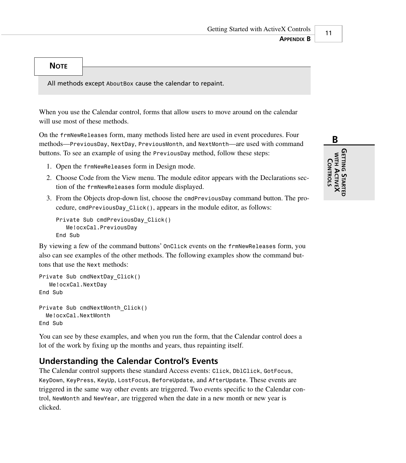11

**NOTE**

All methods except *AboutBox* cause the calendar to repaint.

When you use the Calendar control, forms that allow users to move around on the calendar will use most of these methods.

On the *frmNewReleases* form, many methods listed here are used in event procedures. Four methods—*PreviousDay*, *NextDay*, *PreviousMonth*, and *NextMonth*—are used with command buttons. To see an example of using the *PreviousDay* method, follow these steps:

- 1. Open the *frmNewReleases* form in Design mode.
- 2. Choose Code from the View menu. The module editor appears with the Declarations section of the *frmNewReleases* form module displayed.
- 3. From the Objects drop-down list, choose the *cmdPreviousDay* command button. The procedure, *cmdPreviousDay\_Click()*, appears in the module editor, as follows:

```
Private Sub cmdPreviousDay_Click()
   Me!ocxCal.PreviousDay
End Sub
```
By viewing a few of the command buttons' *OnClick* events on the *frmNewReleases* form, you also can see examples of the other methods. The following examples show the command buttons that use the *Next* methods:

```
Private Sub cmdNextDay_Click()
   Me!ocxCal.NextDay
End Sub
Private Sub cmdNextMonth_Click()
  Me!ocxCal.NextMonth
End Sub
```
You can see by these examples, and when you run the form, that the Calendar control does a lot of the work by fixing up the months and years, thus repainting itself.

### **Understanding the Calendar Control's Events**

The Calendar control supports these standard Access events: *Click*, *DblClick*, *GotFocus*, *KeyDown*, *KeyPress*, *KeyUp*, *LostFocus*, *BeforeUpdate*, and *AfterUpdate*. These events are triggered in the same way other events are triggered. Two events specific to the Calendar control, *NewMonth* and *NewYear*, are triggered when the date in a new month or new year is clicked.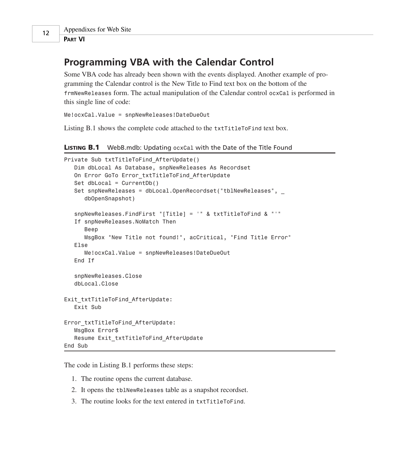### **Programming VBA with the Calendar Control**

Some VBA code has already been shown with the events displayed. Another example of programming the Calendar control is the New Title to Find text box on the bottom of the *frmNewReleases* form. The actual manipulation of the Calendar control *ocxCal* is performed in this single line of code:

*Me!ocxCal.Value = snpNewReleases!DateDueOut*

Listing B.1 shows the complete code attached to the *txtTitleToFind* text box.

```
LISTING B.1 WebB.mdb: Updating ocxCal with the Date of the Title Found
```

```
Private Sub txtTitleToFind_AfterUpdate()
   Dim dbLocal As Database, snpNewReleases As Recordset
   On Error GoTo Error_txtTitleToFind_AfterUpdate
   Set dbLocal = CurrentDb()
   Set snpNewReleases = dbLocal.OpenRecordset("tblNewReleases", _
      dbOpenSnapshot)
   snpNewReleases.FindFirst "[Title] = '" & txtTitleToFind & "'"
   If snpNewReleases.NoMatch Then
      Beep
      MsgBox "New Title not found!", acCritical, "Find Title Error"
   Else
      Me!ocxCal.Value = snpNewReleases!DateDueOut
   End If
   snpNewReleases.Close
   dbLocal.Close
Exit_txtTitleToFind_AfterUpdate:
   Exit Sub
Error_txtTitleToFind_AfterUpdate:
  MsgBox Error$
   Resume Exit_txtTitleToFind_AfterUpdate
End Sub
```
The code in Listing B.1 performs these steps:

- 1. The routine opens the current database.
- 2. It opens the *tblNewReleases* table as a snapshot recordset.
- 3. The routine looks for the text entered in *txtTitleToFind*.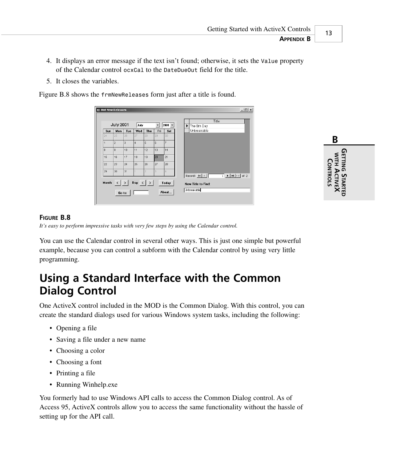- 4. It displays an error message if the text isn't found; otherwise, it sets the *Value* property of the Calendar control *ocxCal* to the *DateDueOut* field for the title.
- 5. It closes the variables.

Figure B.8 shows the *frmNewReleases* form just after a title is found.

|            | <b>July 2001</b>                                                                              |     | July |     |     | $2001 -$ | The 6th Day<br>▶                                                                                                                                                                                                                                                                                                                                                    |
|------------|-----------------------------------------------------------------------------------------------|-----|------|-----|-----|----------|---------------------------------------------------------------------------------------------------------------------------------------------------------------------------------------------------------------------------------------------------------------------------------------------------------------------------------------------------------------------|
| <b>Sun</b> | Mon                                                                                           | Tue | wed  | Thu | Fri | Sat      | Unbreakable                                                                                                                                                                                                                                                                                                                                                         |
| 24         | 25                                                                                            | 26  |      | 28  | 29  | 30       |                                                                                                                                                                                                                                                                                                                                                                     |
|            | $\overline{2}$                                                                                | l3  | 4    | ls. | ls  | 7        |                                                                                                                                                                                                                                                                                                                                                                     |
| 8          | lя                                                                                            | 10  | 11   | 12  | 13  | 14       |                                                                                                                                                                                                                                                                                                                                                                     |
| 15         | 16                                                                                            | 17  | 18   | 19  | 20  | 21       |                                                                                                                                                                                                                                                                                                                                                                     |
| 22         | 23                                                                                            | 24  | 25   | 26  | 27  | 28       |                                                                                                                                                                                                                                                                                                                                                                     |
| 29         | 30                                                                                            | l31 |      |     | ś   | a        | $\overline{1}$   $\overline{1}$   $\overline{1}$   $\overline{1}$   $\overline{1}$   $\overline{1}$   $\overline{1}$   $\overline{1}$   $\overline{1}$   $\overline{1}$   $\overline{1}$   $\overline{1}$   $\overline{1}$   $\overline{1}$   $\overline{1}$   $\overline{1}$   $\overline{1}$   $\overline{1}$   $\overline{1}$   $\overline{1}$  <br>Record: 14 4 |
|            |                                                                                               |     |      |     |     |          |                                                                                                                                                                                                                                                                                                                                                                     |
|            | Month $\left \left \left \right \right \right $ Day $\left \left \left \right \right \right $ |     |      |     |     | Today    | New Title to Find:                                                                                                                                                                                                                                                                                                                                                  |

| R                                                                       |  |
|-------------------------------------------------------------------------|--|
| GETTING<br><b>MITH A</b><br><b>CONTROLS</b><br>STARTED<br><b>CTIVEX</b> |  |

#### **FIGURE B.8**

*It's easy to perform impressive tasks with very few steps by using the Calendar control.*

You can use the Calendar control in several other ways. This is just one simple but powerful example, because you can control a subform with the Calendar control by using very little programming.

## **Using a Standard Interface with the Common Dialog Control**

One ActiveX control included in the MOD is the Common Dialog. With this control, you can create the standard dialogs used for various Windows system tasks, including the following:

- Opening a file
- Saving a file under a new name
- Choosing a color
- Choosing a font
- Printing a file
- Running Winhelp.exe

You formerly had to use Windows API calls to access the Common Dialog control. As of Access 95, ActiveX controls allow you to access the same functionality without the hassle of setting up for the API call.

13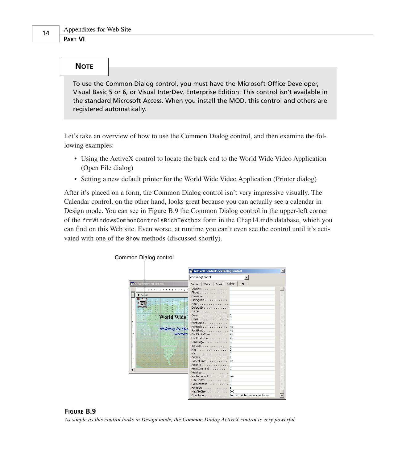### **NOTE**

To use the Common Dialog control, you must have the Microsoft Office Developer, Visual Basic 5 or 6, or Visual InterDev, Enterprise Edition. This control isn't available in the standard Microsoft Access. When you install the MOD, this control and others are registered automatically.

Let's take an overview of how to use the Common Dialog control, and then examine the following examples:

- Using the ActiveX control to locate the back end to the World Wide Video Application (Open File dialog)
- Setting a new default printer for the World Wide Video Application (Printer dialog)

After it's placed on a form, the Common Dialog control isn't very impressive visually. The Calendar control, on the other hand, looks great because you can actually see a calendar in Design mode. You can see in Figure B.9 the Common Dialog control in the upper-left corner of the *frmWindowsCommonControlsRichTextbox* form in the Chap14.mdb database, which you can find on this Web site. Even worse, at runtime you can't even see the control until it's activated with one of the *Show* methods (discussed shortly).



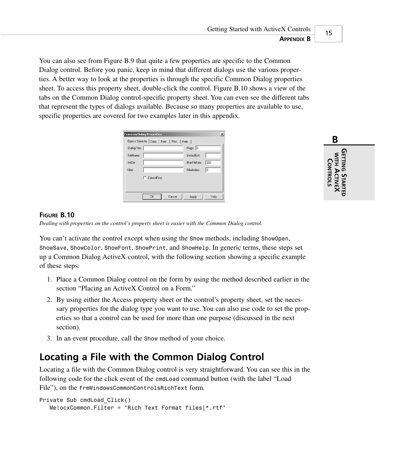15

You can also see from Figure B.9 that quite a few properties are specific to the Common Dialog control. Before you panic, keep in mind that different dialogs use the various properties. A better way to look at the properties is through the specific Common Dialog properties sheet. To access this property sheet, double-click the control. Figure B.10 shows a view of the tabs on the Common Dialog control-specific property sheet. You can even see the different tabs that represent the types of dialogs available. Because so many properties are available to use, specific properties are covered for two examples later in this appendix.





#### **FIGURE B.10**

*Dealing with properties on the control's property sheet is easier with the Common Dialog control.*

You can't activate the control except when using the *Show* methods, including *ShowOpen*, *ShowSave*, *ShowColor*, *ShowFont*, *ShowPrint*, and *ShowHelp*. In generic terms, these steps set up a Common Dialog ActiveX control, with the following section showing a specific example of these steps:

- 1. Place a Common Dialog control on the form by using the method described earlier in the section "Placing an ActiveX Control on a Form."
- 2. By using either the Access property sheet or the control's property sheet, set the necessary properties for the dialog type you want to use. You can also use code to set the properties so that a control can be used for more than one purpose (discussed in the next section).
- 3. In an event procedure, call the *Show* method of your choice.

## **Locating a File with the Common Dialog Control**

Locating a file with the Common Dialog control is very straightforward. You can see this in the following code for the click event of the *cmdLoad* command button (with the label "Load File"), on the *frmWindowsCommonControlsRichText* form.

```
Private Sub cmdLoad_Click()
  Me!ocxCommon.Filter = "Rich Text Format files|*.rtf"
```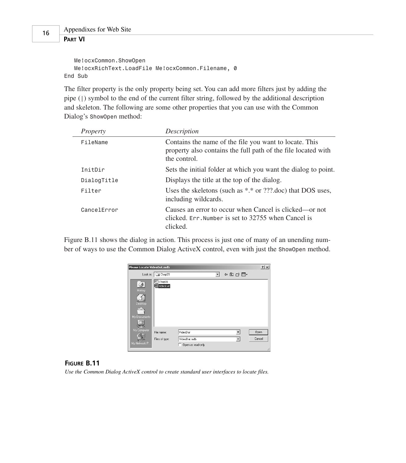```
Me!ocxCommon.ShowOpen
   Me!ocxRichText.LoadFile Me!ocxCommon.Filename, 0
End Sub
```
The filter property is the only property being set. You can add more filters just by adding the pipe (*|*) symbol to the end of the current filter string, followed by the additional description and skeleton. The following are some other properties that you can use with the Common Dialog's *ShowOpen* method:

| Property    | Description                                                                                                                             |
|-------------|-----------------------------------------------------------------------------------------------------------------------------------------|
| FileName    | Contains the name of the file you want to locate. This<br>property also contains the full path of the file located with<br>the control. |
| InitDir     | Sets the initial folder at which you want the dialog to point.                                                                          |
| DialogTitle | Displays the title at the top of the dialog.                                                                                            |
| Filter      | Uses the skeletons (such as $*.*$ or $??$ ?.doc) that DOS uses,<br>including wildcards.                                                 |
| CancelError | Causes an error to occur when Cancel is clicked—or not<br>clicked. Err. Number is set to 32755 when Cancel is<br>clicked.               |

Figure B.11 shows the dialog in action. This process is just one of many of an unending number of ways to use the Common Dialog ActiveX control, even with just the *ShowOpen* method.



#### **FIGURE B.11**

*Use the Common Dialog ActiveX control to create standard user interfaces to locate files.*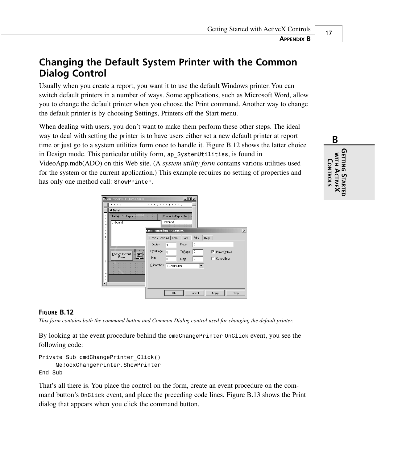## **Changing the Default System Printer with the Common Dialog Control**

Usually when you create a report, you want it to use the default Windows printer. You can switch default printers in a number of ways. Some applications, such as Microsoft Word, allow you to change the default printer when you choose the Print command. Another way to change the default printer is by choosing Settings, Printers off the Start menu.

When dealing with users, you don't want to make them perform these other steps. The ideal way to deal with setting the printer is to have users either set a new default printer at report time or just go to a system utilities form once to handle it. Figure B.12 shows the latter choice in Design mode. This particular utility form, *ap\_SystemUtilities*, is found in VideoApp.mdb(ADO) on this Web site. (A *system utility form* contains various utilities used for the system or the current application.) This example requires no setting of properties and has only one method call: *ShowPrinter*.

> **€** Detail Table(s) To Export Format to Export To Jnbound Jnbound **Dialog Properties** Open / Save As | Color | Font | Print | Help | Copie: Elags: ToPage:  $\nabla$  Printer**D**efault Change Default<br>Printer **I** or Min: CancelError Max 五  $Qrientation:  $\sqrt{1 \cdot \text{cd}$ Portrait</u>$  $\blacktriangledown$  $Cancel$ OK Apply Help

#### **FIGURE B.12**

*This form contains both the command button and Common Dialog control used for changing the default printer.*

By looking at the event procedure behind the *cmdChangePrinter OnClick* event, you see the following code:

```
Private Sub cmdChangePrinter_Click()
     Me!ocxChangePrinter.ShowPrinter
End Sub
```
That's all there is. You place the control on the form, create an event procedure on the command button's *OnClick* event, and place the preceding code lines. Figure B.13 shows the Print dialog that appears when you click the command button.

**B GETTING** א<br>א∃ב **CONTROLS CONTROLS ACTIVE X STARTED**